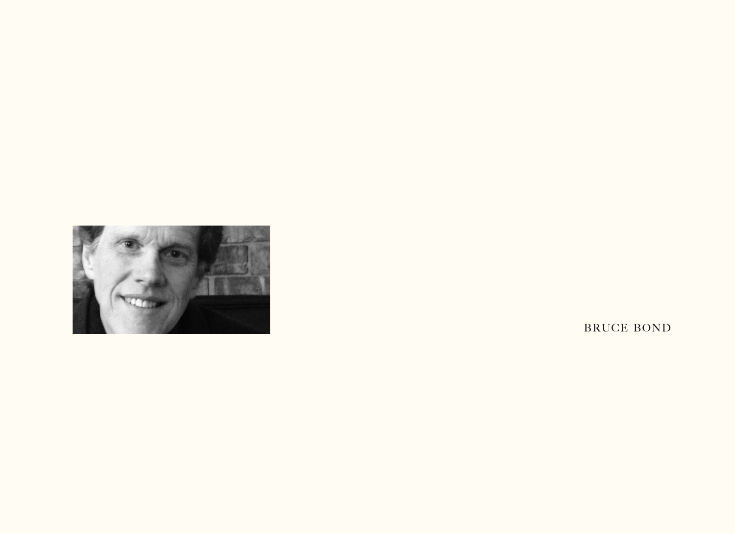

BRUCE BOND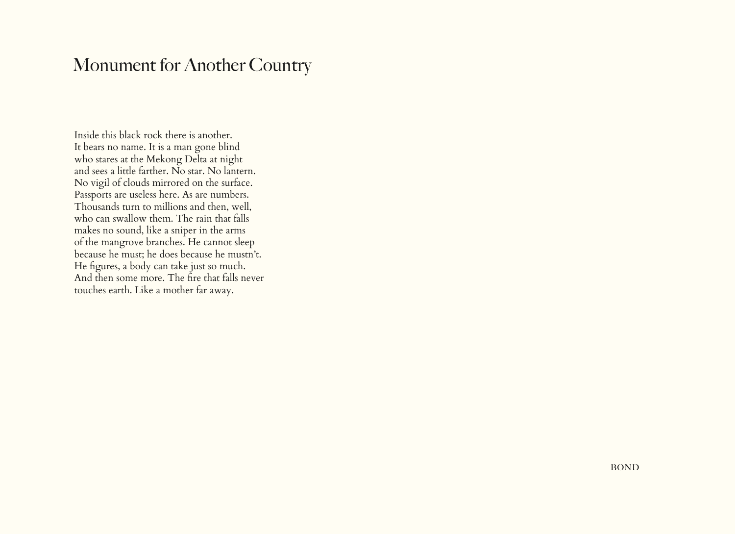## Monument for Another Country

Inside this black rock there is another. It bears no name. It is a man gone blind who stares at the Mekong Delta at night and sees a little farther. No star. No lantern. No vigil of clouds mirrored on the surface. Passports are useless here. As are numbers. Thousands turn to millions and then, well, who can swallow them. The rain that falls makes no sound, like a sniper in the arms of the mangrove branches. He cannot sleep because he must; he does because he mustn't. He figures, a body can take just so much. And then some more. The fire that falls never touches earth. Like a mother far away.